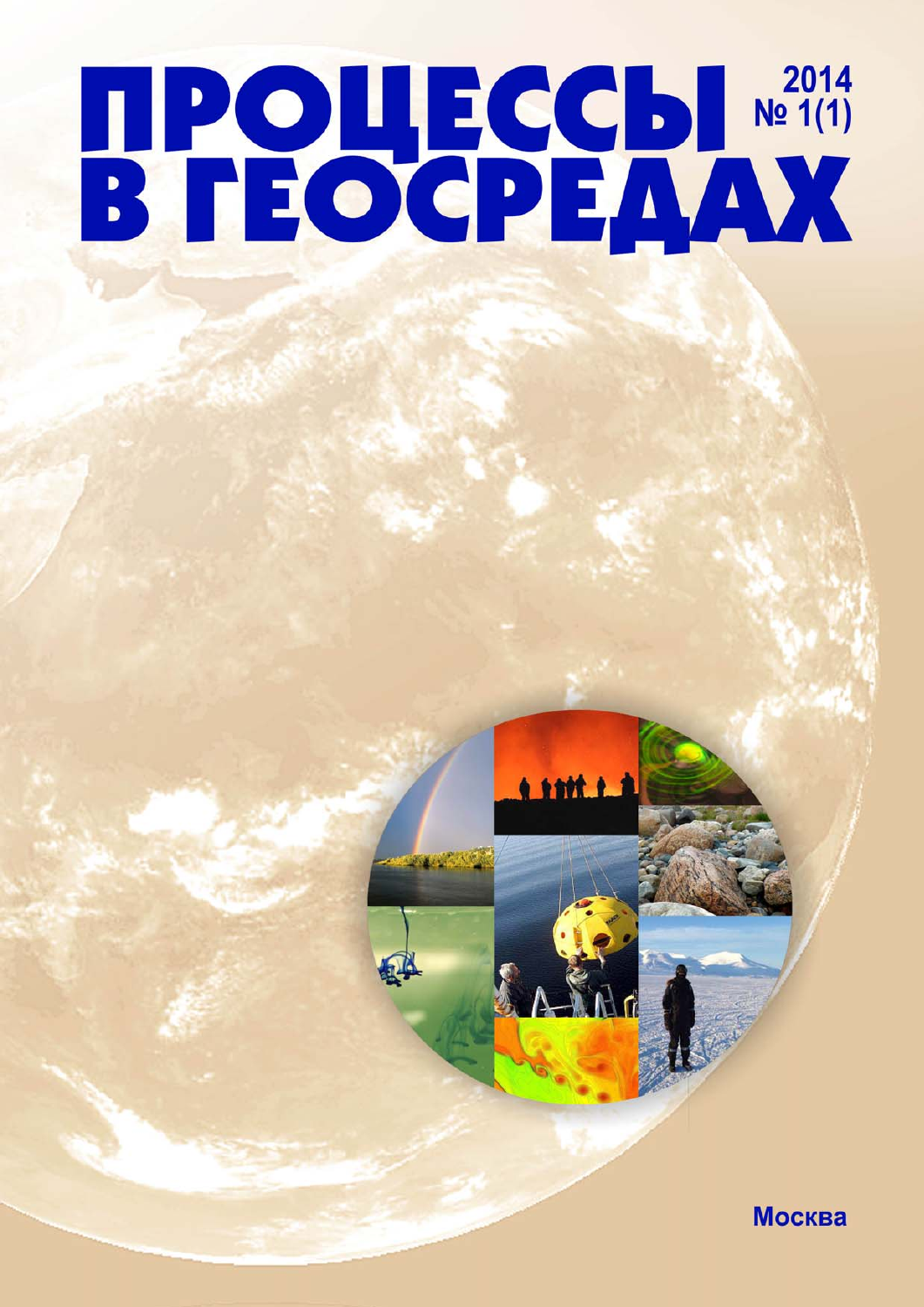# BIPOUECCH Nº 1(1)

<u>A soft end</u>

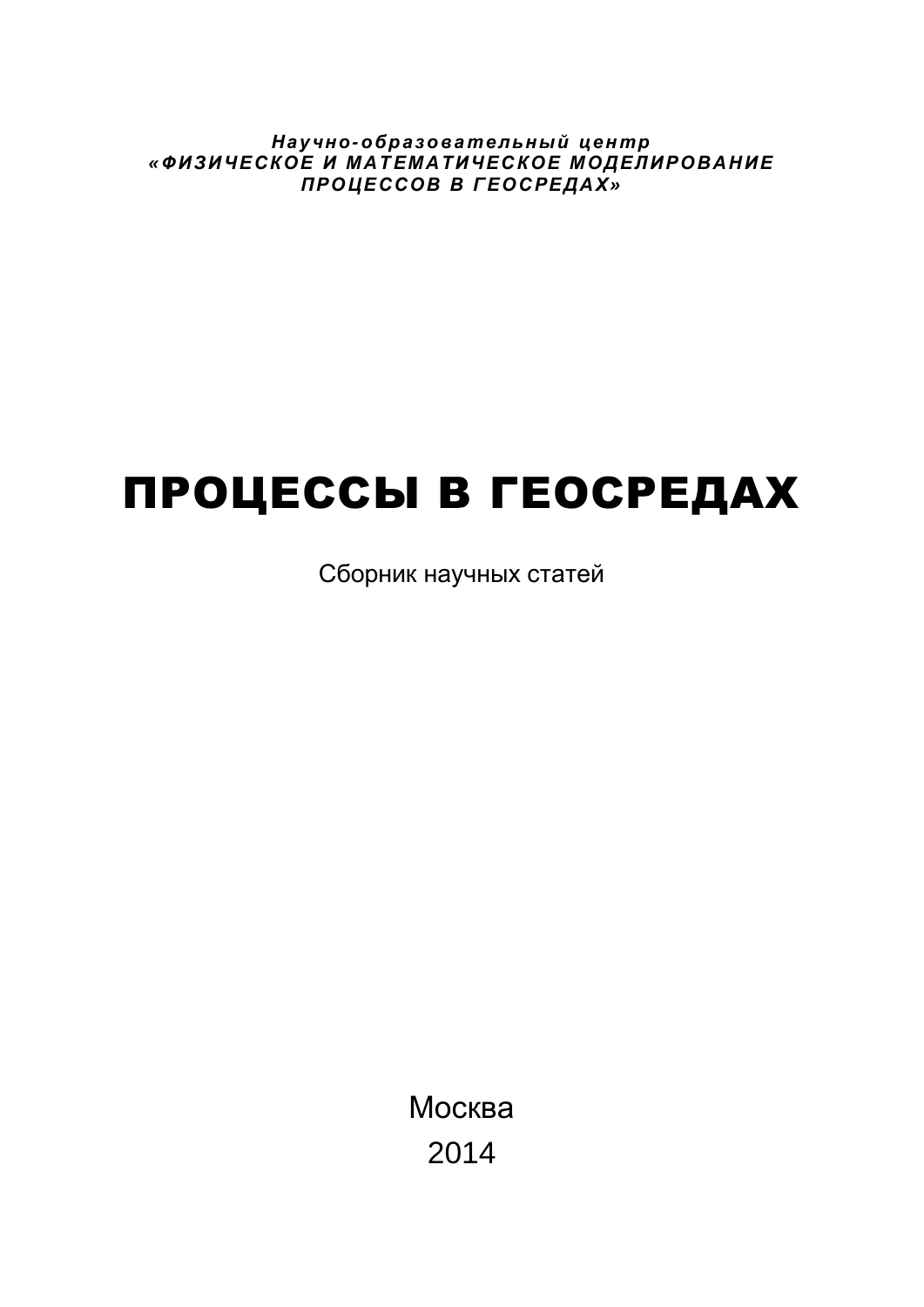*Научно-образовательный центр «ФИЗИЧЕСКОЕ И МАТЕМАТИЧЕСКОЕ МОДЕЛИРОВАНИЕ ПРОЦЕССОВ В ГЕОСРЕДАХ»* 

# ПРОЦЕССЫ В ГЕОСРЕДАХ

Сборник научных статей

Москва 2014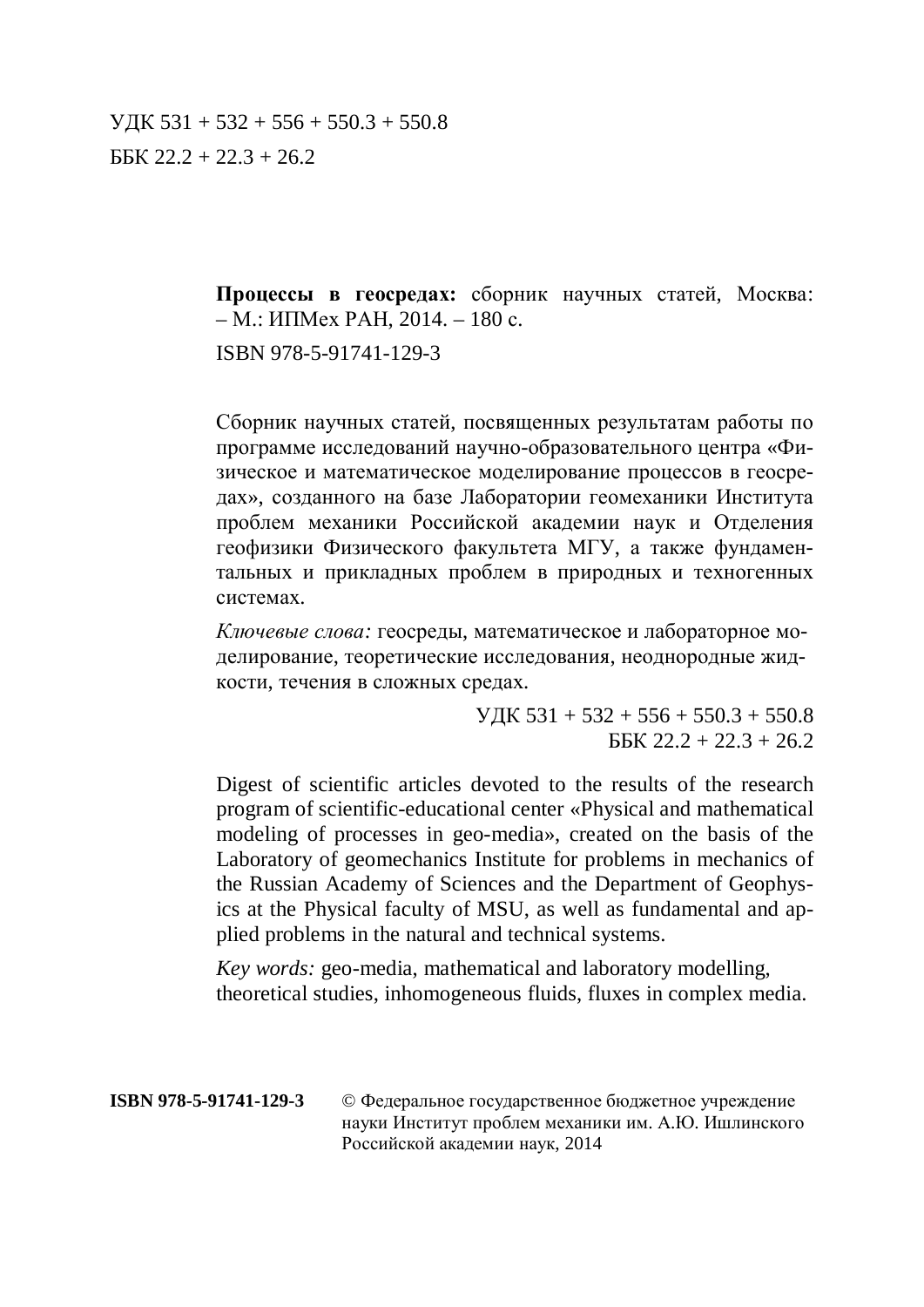УДК 531 + 532 + 556 + 550.3 + 550.8  $F$ FBK 22.2 + 22.3 + 26.2

> **Процессы в геосредах:** сборник научных статей, Москва: – М.: ИПМех РАН, 2014. – 180 с.

ISBN 978-5-91741-129-3

Сборник научных статей, посвященных результатам работы по программе исследований научно-образовательного центра «Физическое и математическое моделирование процессов в геосредах», созданного на базе Лаборатории геомеханики Института проблем механики Российской академии наук и Отделения геофизики Физического факультета МГУ, а также фундаментальных и прикладных проблем в природных и техногенных системах.

*Ключевые слова:* геосреды, математическое и лабораторное моделирование, теоретические исследования, неоднородные жидкости, течения в сложных средах.

> УДК  $531 + 532 + 556 + 550.3 + 550.8$  $FFK$  22.2 + 22.3 + 26.2

 Digest of scientific articles devoted to the results of the research program of scientific-educational center «Physical and mathematical modeling of processes in geo-media», created on the basis of the Laboratory of geomechanics Institute for problems in mechanics of the Russian Academy of Sciences and the Department of Geophysics at the Physical faculty of MSU, as well as fundamental and applied problems in the natural and technical systems.

*Key words:* geo-media, mathematical and laboratory modelling, theoretical studies, inhomogeneous fluids, fluxes in complex media.

**ISBN 978-5-91741-129-3** © Федеральное государственное бюджетное учреждение науки Институт проблем механики им. А.Ю. Ишлинского Российской академии наук, 2014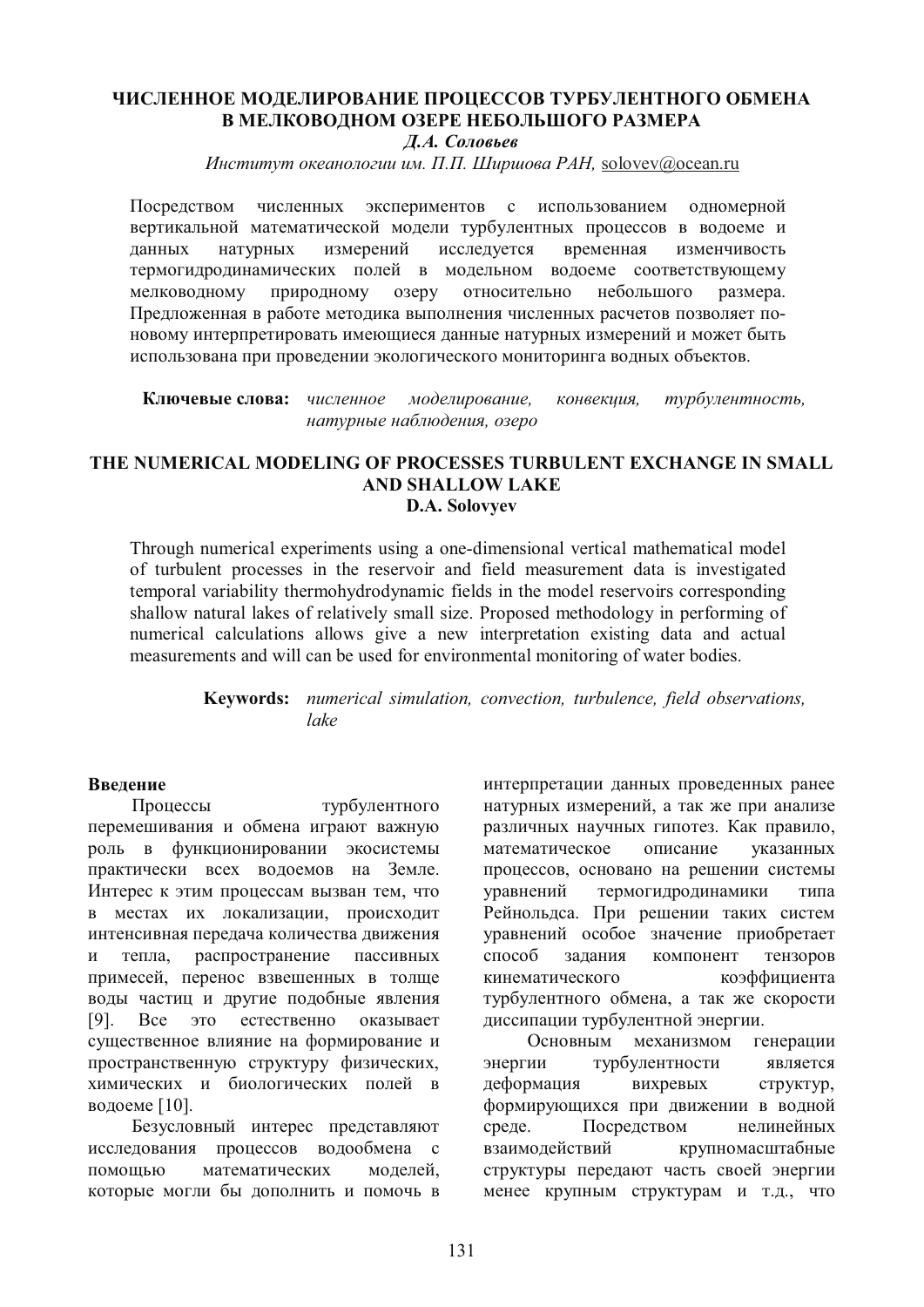## ЧИСЛЕННОЕ МОДЕЛИРОВАНИЕ ПРОЦЕССОВ ТУРБУЛЕНТНОГО ОБМЕНА В МЕЛКОВОДНОМ ОЗЕРЕ НЕБОЛЬШОГО РАЗМЕРА

Д.А. Соловьев

Институт океанологии им. П.П. Ширшова РАН, solovey@ocean.ru

численных экспериментов с использованием Посредством одномерной вертикальной математической модели турбулентных процессов в водоеме и ланных натурных измерений исследуется временная изменчивость термогидродинамических полей в модельном водоеме соответствующему мелководному природному озеру относительно небольшого размера. Предложенная в работе методика выполнения численных расчетов позволяет поновому интерпретировать имеющиеся данные натурных измерений и может быть использована при проведении экологического мониторинга водных объектов.

Ключевые слова: численное моделирование, турбулентность, конвекция, натурные наблюдения, озеро

### THE NUMERICAL MODELING OF PROCESSES TURBULENT EXCHANGE IN SMALL **AND SHALLOW LAKE** D.A. Solovvev

Through numerical experiments using a one-dimensional vertical mathematical model of turbulent processes in the reservoir and field measurement data is investigated temporal variability thermohydrodynamic fields in the model reservoirs corresponding shallow natural lakes of relatively small size. Proposed methodology in performing of numerical calculations allows give a new interpretation existing data and actual measurements and will can be used for environmental monitoring of water bodies.

> Keywords: numerical simulation, convection, turbulence, field observations,  $\frac{1}{\text{d}}$

### Ввеление

Процессы турбулентного перемешивания и обмена играют важную роль в функционировании экосистемы практически всех водоемов на Земле. Интерес к этим процессам вызван тем, что в местах их локализации, происходит интенсивная передача количества движения распространение тепла, пассивных  $\mathbf{M}$ примесей, перенос взвешенных в толще воды частиц и другие подобные явления  $[9]$ **Bce**  $ATO$ естественно оказывает существенное влияние на формирование и пространственную структуру физических, химических и биологических полей в водоеме [10].

Безусловный интерес представляют процессов водообмена с исследования помошью математических моделей. которые могли бы дополнить и помочь в интерпретации данных проведенных ранее натурных измерений, а так же при анализе различных научных гипотез. Как правило, математическое указанных описание процессов, основано на решении системы уравнений термогидродинамики типа Рейнольдса. При решении таких систем уравнений особое значение приобретает  $c\pi$ <sup>o</sup>co<sup>6</sup> залания компонент тензоров коэффициента кинематического турбулентного обмена, а так же скорости диссипации турбулентной энергии.

Основным механизмом генерации энергии турбулентности является деформация вихревых структур, формирующихся при движении в водной Посредством среде. нелинейных взаимолействий крупномасштабные структуры передают часть своей энергии менее крупным структурам и т.д., что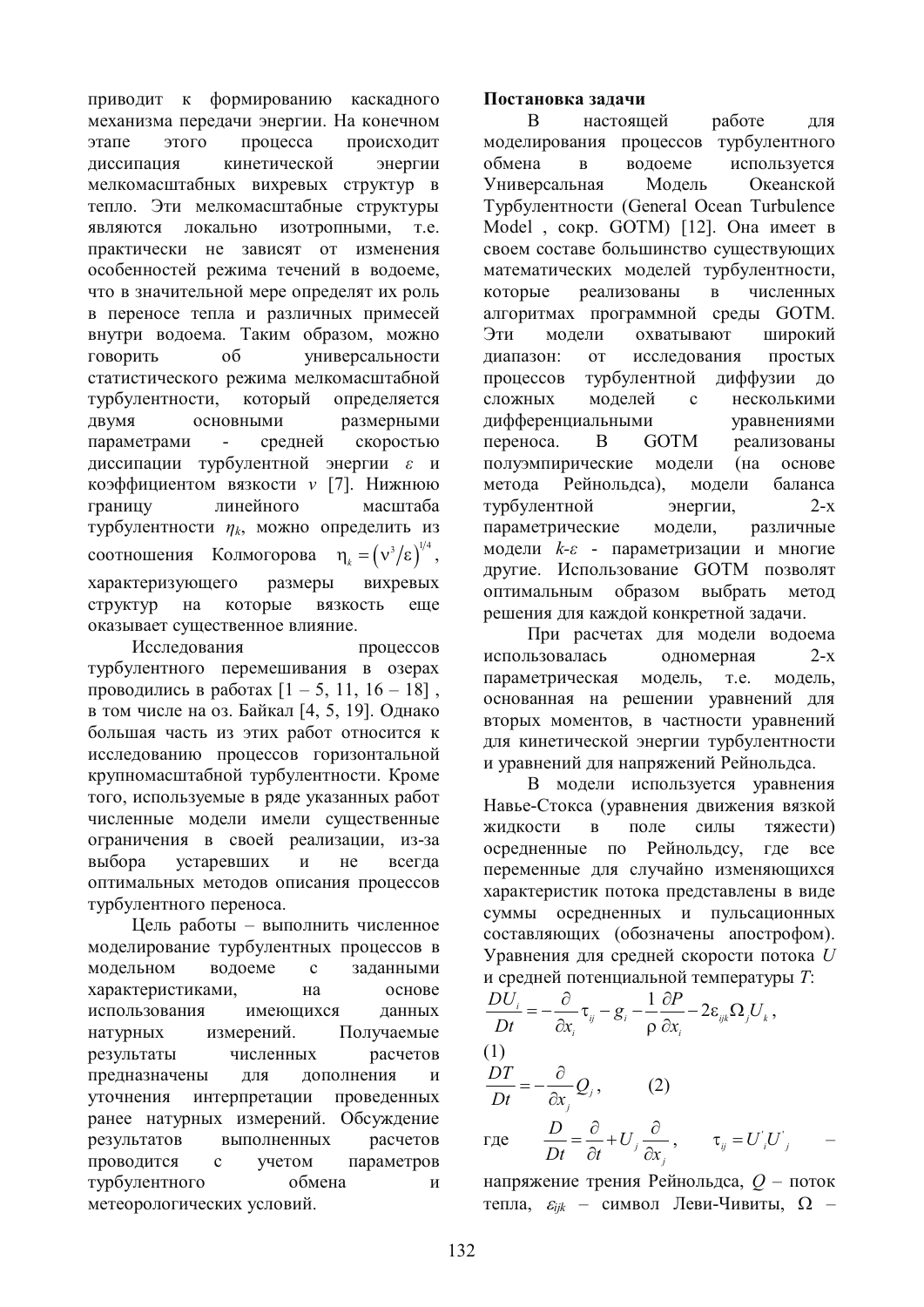приводит к формированию каскадного механизма передачи энергии. На конечном этого процесса этапе происходит лиссипания кинетической энергии мелкомасштабных вихревых структур в тепло. Эти мелкомасштабные структуры ЯВЛЯЮТСЯ локально изотропными, т.е. практически не зависят от изменения особенностей режима течений в волоеме. что в значительной мере определят их роль в переносе тепла и различных примесей внутри водоема. Таким образом, можно говорить  $\overline{00}$ универсальности статистического режима мелкомасштабной турбулентности, который определяется двумя основными размерными скоростью параметрами L. средней диссипации турбулентной энергии  $\varepsilon$  и коэффициентом вязкости у [7]. Нижнюю границу линейного масштаба турбулентности  $\eta_k$ , можно определить из соотношения Колмогорова  $\eta_i = (v^3/\varepsilon)^{1/4}$ , размеры вихревых характеризующего **CTDVKTVD** на которые вязкость eme оказывает существенное влияние.

Исследования процессов турбулентного перемешивания в озерах проводились в работах  $[1 - 5, 11, 16 - 18]$ , в том числе на оз. Байкал [4, 5, 19]. Однако большая часть из этих работ относится к исследованию процессов горизонтальной крупномасштабной турбулентности. Кроме того, используемые в ряде указанных работ численные модели имели существенные ограничения в своей реализации, из-за выбора устаревших  $\overline{M}$  $He$ всегла оптимальных метолов описания процессов турбулентного переноса.

Цель работы - выполнить численное моделирование турбулентных процессов в заданными волоеме  $\mathbf{c}$ модельном характеристиками, основе на использования имеющихся ланных Получаемые натурных измерений. результаты численных расчетов дополнения предназначены ДЛЯ  $\overline{M}$ уточнения интерпретации проведенных ранее натурных измерений. Обсуждение выполненных расчетов результатов проводится учетом параметров  $\mathbf c$ турбулентного обмена  $\overline{M}$ метеорологических условий.

### Постановка залачи

 $\overline{B}$ работе настоящей ДЛЯ моделирования процессов турбулентного обмена  $\overline{B}$ волоеме используется Универсальная Молель Океанской Турбулентности (General Ocean Turbulence Model, сокр. GOTM) [12]. Она имеет в своем составе большинство существующих математических моделей турбулентности. реализованы численных которые  $\overline{R}$ алгоритмах программной среды GOTM. модели охватывают Эти широкий простых лиапазон:  $\overline{O}$ исследования диффузии до процессов турбулентной сложных моделей  $\mathbf{c}$ несколькими дифференциальными уравнениями переноса.  $\mathbf{B}$ **GOTM** реализованы полуэмпирические модели  $(Ha)$ основе метола Рейнольдса). молели баланса турбулентной энергии.  $2-x$ параметрические модели. различные модели k- $\varepsilon$  - параметризации и многие лругие. Использование GOTM позволят оптимальным образом выбрать метол решения для каждой конкретной задачи.

При расчетах для модели водоема использовалась одномерная  $2-x$ параметрическая модель, T.e. молель. основанная на решении уравнений для вторых моментов, в частности уравнений для кинетической энергии турбулентности и уравнений для напряжений Рейнольдса.

В модели используется уравнения Навье-Стокса (уравнения движения вязкой жилкости  $\overline{B}$ поле силы тяжести) осредненные по Рейнольдсу, гле **BCC** переменные для случайно изменяющихся характеристик потока представлены в виде суммы осредненных и пульсационных составляющих (обозначены апострофом). Уравнения для средней скорости потока  $U$ и средней потенциальной температуры Т:

$$
\frac{DU_i}{Dt} = -\frac{\partial}{\partial x_i} \tau_{ij} - g_i - \frac{1}{\rho} \frac{\partial P}{\partial x_i} - 2\epsilon_{ijk} \Omega_j U_k,
$$
\n(1)\n
$$
\frac{DT}{Dt} = -\frac{\partial}{\partial x_j} Q_j, \qquad (2)
$$
\n
$$
\text{rate} \qquad \frac{D}{Dt} = \frac{\partial}{\partial t} + U_j \frac{\partial}{\partial x_j}, \qquad \tau_{ij} = U'_i U'_j \qquad -\frac{\partial}{\partial t} \frac{\partial}{\partial x_j} + U'_j \frac{\partial}{\partial x_j} + \frac{\partial}{\partial x_j} \frac{\partial}{\partial x_j} + \frac{\partial}{\partial x_j} \frac{\partial}{\partial x_j} + \frac{\partial}{\partial x_j} \frac{\partial}{\partial x_j} + \frac{\partial}{\partial x_j} \frac{\partial}{\partial x_j} + \frac{\partial}{\partial x_j} \frac{\partial}{\partial x_j} + \frac{\partial}{\partial x_j} \frac{\partial}{\partial x_j} + \frac{\partial}{\partial x_j} \frac{\partial}{\partial x_j} + \frac{\partial}{\partial x_j} \frac{\partial}{\partial x_j} + \frac{\partial}{\partial x_j} \frac{\partial}{\partial x_j} + \frac{\partial}{\partial x_j} \frac{\partial}{\partial x_j} + \frac{\partial}{\partial x_j} \frac{\partial}{\partial x_j} + \frac{\partial}{\partial x_j} \frac{\partial}{\partial x_j} + \frac{\partial}{\partial x_j} \frac{\partial}{\partial x_j} + \frac{\partial}{\partial x_j} \frac{\partial}{\partial x_j} + \frac{\partial}{\partial x_j} \frac{\partial}{\partial x_j} + \frac{\partial}{\partial x_j} \frac{\partial}{\partial x_j} + \frac{\partial}{\partial x_j} \frac{\partial}{\partial x_j} + \frac{\partial}{\partial x_j} \frac{\partial}{\partial x_j} + \frac{\partial}{\partial x_j} \frac{\partial}{\partial x_j} + \frac{\partial}{\partial x_j} \frac{\partial}{\partial x_j} + \frac{\partial}{\partial x_j} \frac{\partial}{\partial x_j} + \frac{\partial}{\partial x_j} \frac{\partial}{\partial x_j} + \frac{\partial}{\partial x_j} \frac{\partial}{\partial x_j} + \frac{\partial}{\partial x_j} \frac{\partial}{\partial x_j} + \frac{\partial}{\partial x_j} \frac{\partial}{\partial x_j} + \frac{\partial}{\partial x_j} \frac{\partial}{\partial x_j} + \frac{\partial}{\partial x_j} \frac{\
$$

напряжение трения Рейнольдса,  $O$  - поток тепла,  $\varepsilon_{ijk}$  - символ Леви-Чивиты,  $\Omega$  -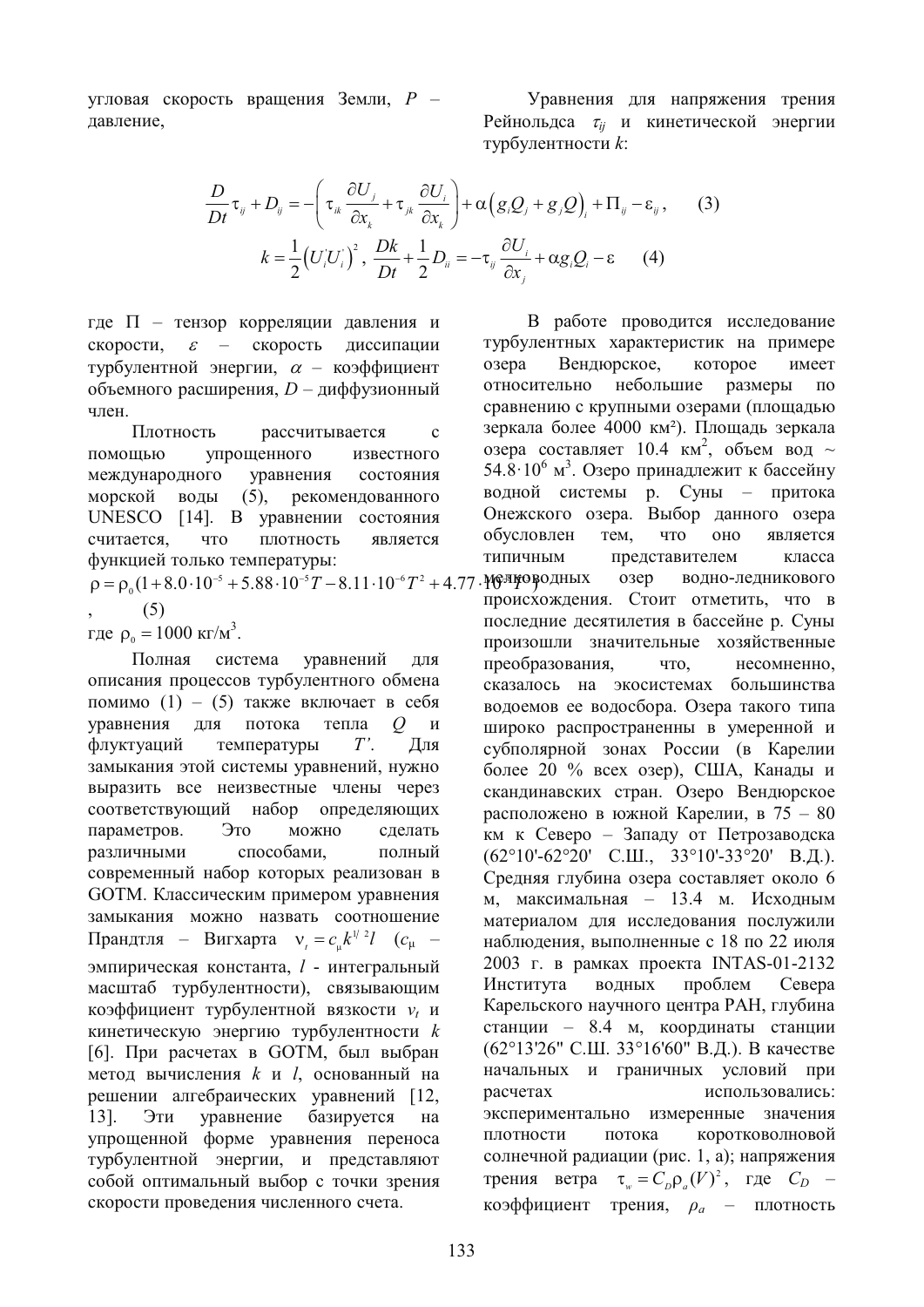угловая скорость вращения Земли, P давление,

Уравнения для напряжения трения Рейнольдса  $\tau_{ii}$  и кинетической энергии турбулентности k:

$$
\frac{D}{Dt}\tau_{ij} + D_{ij} = -\left(\tau_{ik}\frac{\partial U_j}{\partial x_k} + \tau_{jk}\frac{\partial U_i}{\partial x_k}\right) + \alpha\left(g_iQ_j + g_jQ\right)_i + \Pi_{ij} - \varepsilon_{ij},\qquad(3)
$$
\n
$$
k = \frac{1}{2}\left(U_iU_i\right)^2, \frac{Dk}{Dt} + \frac{1}{2}D_{ii} = -\tau_{ij}\frac{\partial U_i}{\partial x_j} + \alpha g_iQ_i - \varepsilon \qquad(4)
$$

где П - тензор корреляции давления и скорости,  $\varepsilon$  – скорость диссипации турбулентной энергии,  $\alpha$  – коэффициент объемного расширения,  $D - \mu\nu$ ффузионный чтен

Плотность рассчитывается  $\mathbf{c}$ помошью упрощенного известного международного уравнения состояния морской воды (5), рекомендованного UNESCO [14]. В уравнении состояния считается. плотность является что функцией только температуры:

 $\rho = \rho_0 (1 + 8.0 \cdot 10^{-5} + 5.88 \cdot 10^{-5} T - 8.11 \cdot 10^{-6} T^2 + 4.77 \cdot 10^{-4} T^4)$  $(5)$ 

где  $\rho_0 = 1000 \text{ кг/m}^3$ .

Полная система уравнений лля описания процессов турбулентного обмена помимо  $(1) - (5)$  также включает в себя уравнения ЛЛЯ потока тепла  $O$   $M$ флуктуаций температуры  $T'.$ Лля замыкания этой системы уравнений, нужно выразить все неизвестные члены через соответствующий набор определяющих параметров. Это можно слелать различными способами, полный современный набор которых реализован в **GOTM.** Классическим примером уравнения замыкания можно назвать соотношение Прандтля - Вигхарта  $v = c_n k^{1/2} l$  ( $c_n$  эмпирическая константа,  $l$  - интегральный масштаб турбулентности), связывающим коэффициент турбулентной вязкости  $v_t$  и кинетическую энергию турбулентности  $k$ [6]. При расчетах в GOTM, был выбран метод вычисления k и l, основанный на решении алгебраических уравнений [12,  $13$ . Эти уравнение базируется на упрощенной форме уравнения переноса турбулентной энергии, и представляют собой оптимальный выбор с точки зрения скорости проведения численного счета.

В работе проводится исследование турбулентных характеристик на примере озера Вендюрское, которое имеет относительно небольшие размеры  $\overline{a}$ сравнению с крупными озерами (площадью зеркала более 4000 км<sup>2</sup>). Площадь зеркала озера составляет 10.4 км<sup>2</sup>, объем вод  $\sim$  $54.8 \cdot 10^6$  м<sup>3</sup>. Озеро приналлежит к бассейну водной системы р. Суны - притока Онежского озера. Выбор данного озера обусловлен Tem. что **OHO** является типичным представителем класса

водно-ледникового озер происхождения. Стоит отметить, что в послелние десятилетия в бассейне р. Суны произошли значительные хозяйственные преобразования, что. несомненно. сказалось на экосистемах большинства водоемов ее водосбора. Озера такого типа широко распространенны в умеренной и субполярной зонах России (в Карелии более 20 % всех озер), США, Канады и скандинавских стран. Озеро Вендюрское расположено в южной Карелии, в 75 - 80 км к Северо - Западу от Петрозаводска  $(62^{\circ}10^{\circ} - 62^{\circ}20^{\circ}$  C.III.,  $33^{\circ}10^{\circ} - 33^{\circ}20^{\circ}$  B.A.). Средняя глубина озера составляет около 6 м, максимальная - 13.4 м. Исходным материалом для исследования послужили наблюдения, выполненные с 18 по 22 июля 2003 г. в рамках проекта INTAS-01-2132 проблем Института водных Севера Карельского научного центра РАН, глубина станции - 8.4 м, координаты станции (62°13'26" С.Ш. 33°16'60" В.Д.). В качестве начальных и граничных условий при расчетах использовались: экспериментально измеренные значения потока плотности коротковолновой солнечной радиации (рис. 1, а); напряжения трения ветра  $\tau_w = C_p \rho_a(V)^2$ , где  $C_D$  коэффициент трения,  $\rho_a$  – плотность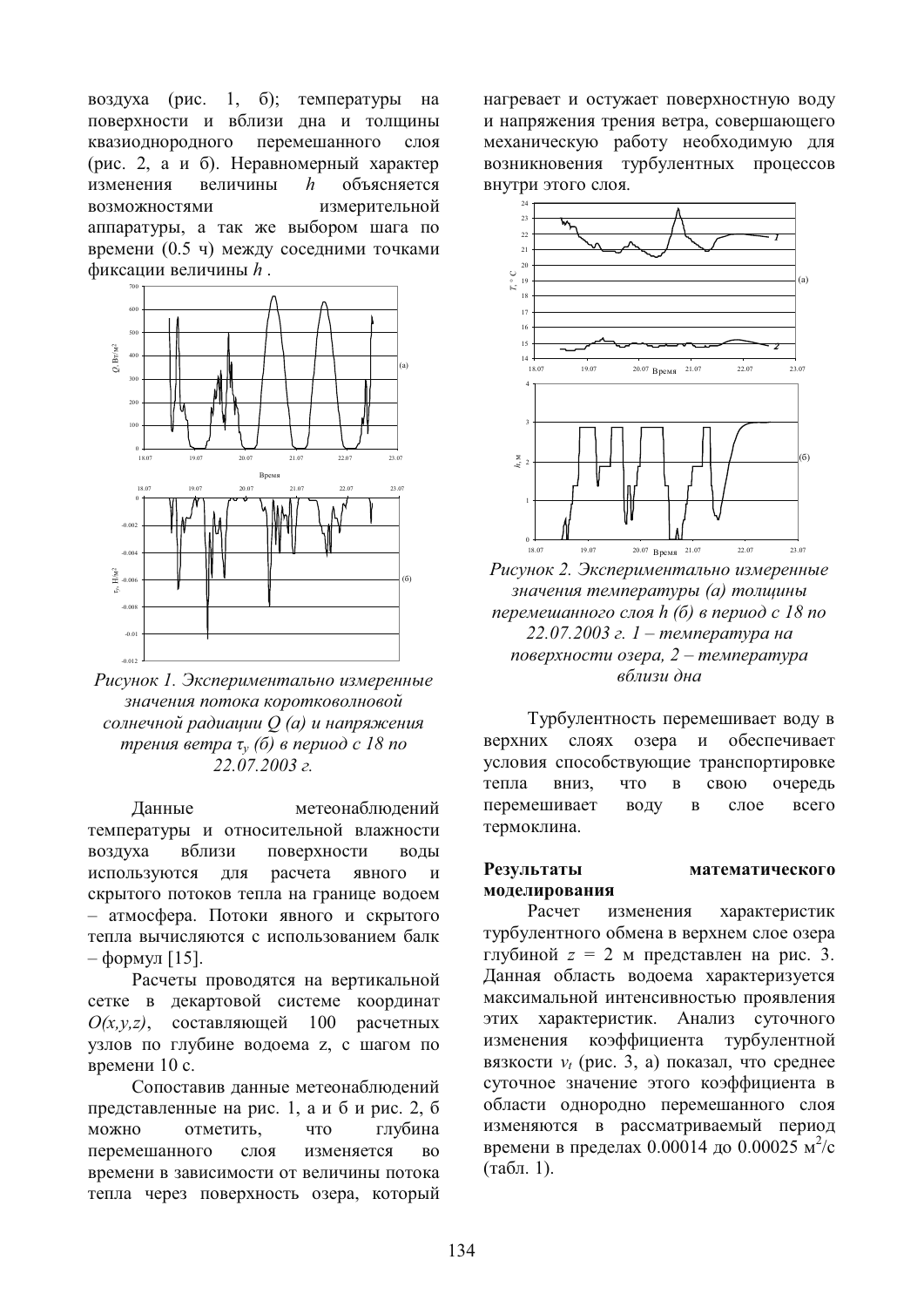воздуха (рис. 1, б); температуры на поверхности и вблизи дна и толщины перемешанного квазиоднородного слоя (рис. 2, а и б). Неравномерный характер изменения величины  $\boldsymbol{h}$ объясняется возможностями измерительной аппаратуры, а так же выбором шага по времени (0.5 ч) между соседними точками фиксации величины h.



Рисунок 1. Экспериментально измеренные значения потока коротковолновой солнечной радиации О (а) и напряжения трения ветра  $\tau_v$  (б) в период с 18 по  $22.07,2003$   $z$ .

Ланные метеонаблюлений температуры и относительной влажности воздуха вблизи поверхности **ВОЛЫ** используются ДЛЯ расчета явного  $\overline{M}$ скрытого потоков тепла на границе водоем - атмосфера. Потоки явного и скрытого тепла вычисляются с использованием балк  $-$  формул [15].

Расчеты проводятся на вертикальной сетке в декартовой системе координат составляющей 100 расчетных  $O(x,y,z)$ , узлов по глубине водоема z, с шагом по времени 10 с.

Сопоставив данные метеонаблюдений представленные на рис. 1, а и б и рис. 2, б можно отметить, **что** глубина изменяется перемешанного  $C<sub>II</sub>$ ОЯ  $RO$ времени в зависимости от величины потока тепла через поверхность озера, который нагревает и остужает поверхностную воду и напряжения трения ветра, совершающего механическую работу необходимую для возникновения турбулентных процессов внутри этого слоя.



Рисунок 2. Экспериментально измеренные значения температуры (а) толщины перемешанного слоя h (б) в период с 18 по 22.07.2003 г. 1 – температура на поверхности озера, 2 – температура вблизи дна

Турбулентность перемешивает воду в верхних слоях озера и обеспечивает условия способствующие транспортировке что тепла вниз.  $\overline{B}$ свою очередь перемешивает воду слое всего  $\overline{R}$ термоклина.

### Результаты математического моделирования

Расчет изменения характеристик турбулентного обмена в верхнем слое озера глубиной  $z = 2$  м представлен на рис. 3. Данная область водоема характеризуется максимальной интенсивностью проявления этих характеристик. Анализ суточного коэффициента турбулентной изменения вязкости  $v_t$  (рис. 3, а) показал, что среднее суточное значение этого коэффициента в области однородно перемешанного слоя изменяются в рассматриваемый период времени в пределах 0.00014 до 0.00025 м<sup>2</sup>/с  $(\text{табл. 1}).$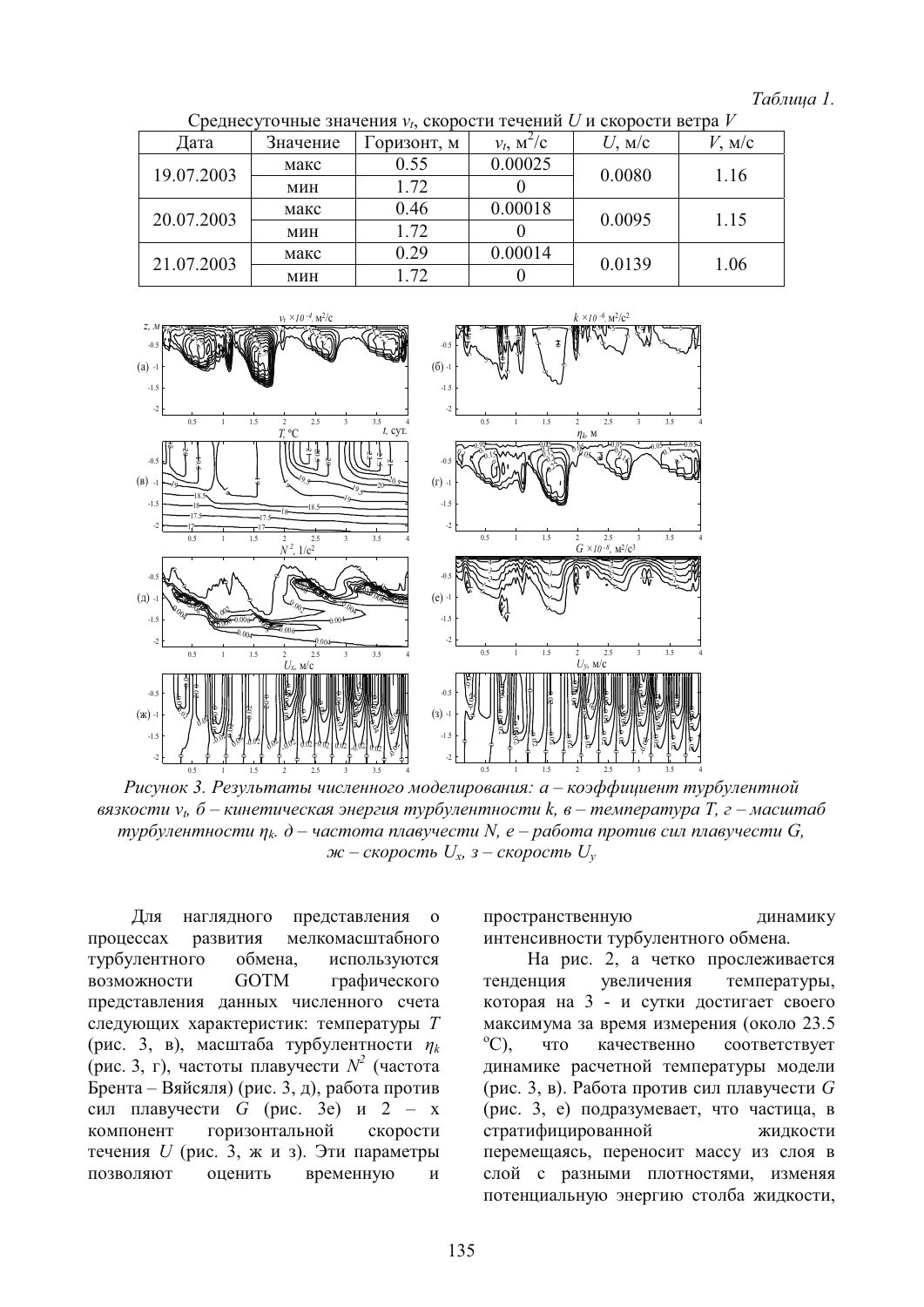Tаблииа 1.

| Дата       | Значение | Горизонт, м | $v_t$ , $M^2/C$ | $U$ , M/c | $V$ , M/c |
|------------|----------|-------------|-----------------|-----------|-----------|
| 19.07.2003 | макс     | 0.55        | 0.00025         | 0.0080    | 1.16      |
|            | МИН      | 1.72        |                 |           |           |
| 20.07.2003 | макс     | 0.46        | 0.00018         | 0.0095    | 1.15      |
|            | МИН      | 1.72        |                 |           |           |
| 21.07.2003 | макс     | 0.29        | 0.00014         | 0.0139    | 1.06      |
|            | МИН      | .72         |                 |           |           |

Среднесуточные значения  $v_t$ , скорости течений  $U$  и скорости ветра  $V$ 



*Рисунок 3. Результаты численного моделирования: а – коэффициент турбулентной* вязкости  $v_t$ , б – кинетическая энергия турбулентности k, в – температура T, г – масштаб турбулентности  $\eta_k$ . д $-$  частота плавучести N, е – работа против сил плавучести G, *ж* – скорость U<sub>x</sub>, з – скорость U<sub>y</sub>

Лля наглялного ого представления о процессах развития мелкомасштабного турбулентн обмена, используются возможности GOTM графического представления данных численного счета следующих характеристик: температуры Т (рис. 3, в), масштаба турбулентности  $\eta_k$ (рис. 3, г), частоты плавучести  $N^2$  (частота Брента – Вяйсяля) (рис. 3, д), работа против сил плавучести  $G$  (рис. 3e) и  $2 - x$ компонен т горизонтальн скорости течения  $U$  (рис. 3, ж и з). Эти параметры позволяют оценить ить временную и

пространственн ую динамику интенсивности турбулентного обмена.

На рис. 2, а четко прослеживается тенден **увеличения** температуры, которая на 3 - и сутки достигает своего максимума за время измерения (около 23.5 С), что качественн соответствует динамике расчетной температуры модели (рис. 3, в). Работа против сил плавучести G (рис. 3, е) подразумевает, что частица, в стратифицированн жилкости перемещаясь, переносит массу из слоя в слой с разными плотностями, изменяя потенциальную энергию столба жидкости,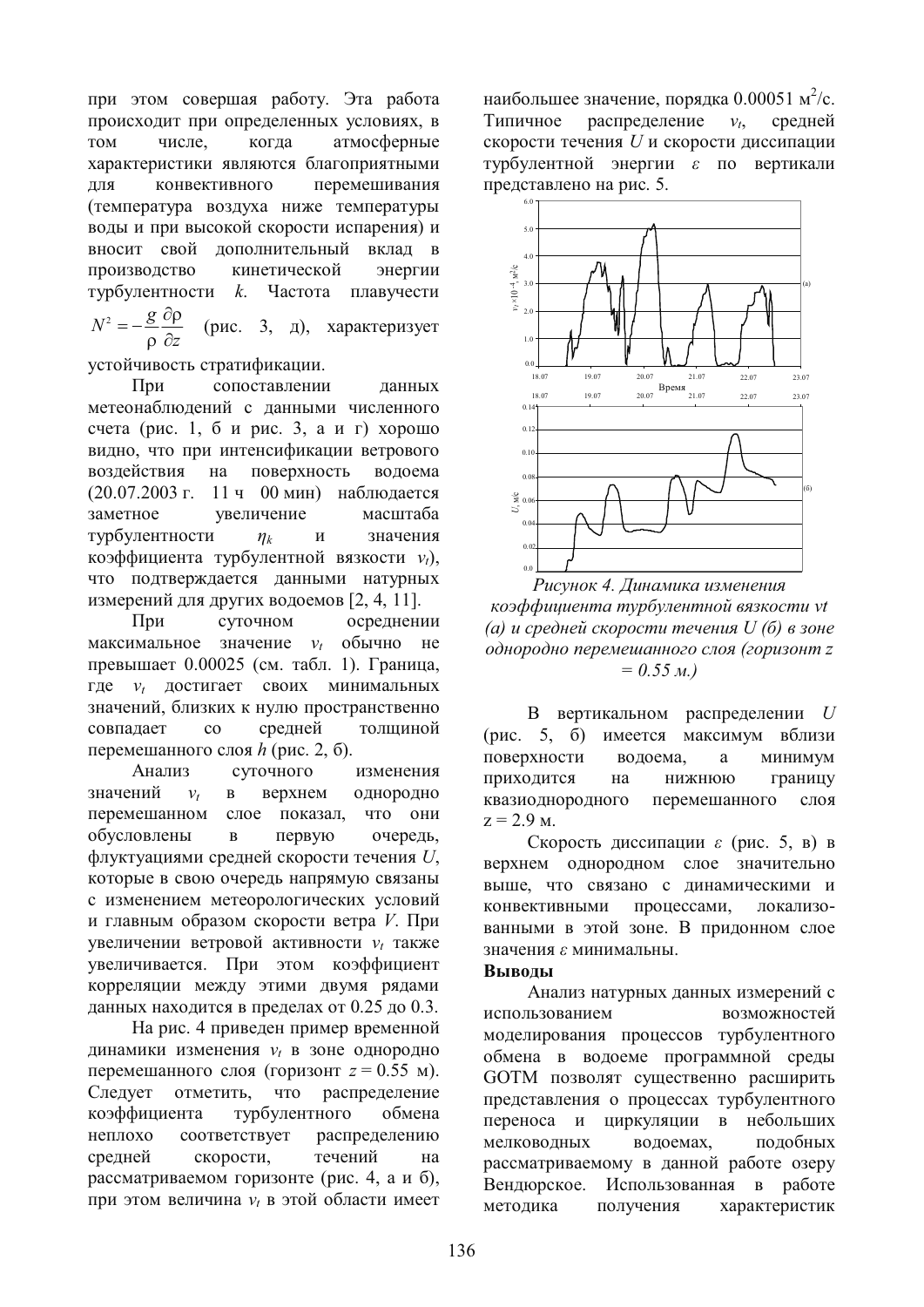при этом совершая работу. Эта работа происходит при определенных условиях, в числе. атмосферные **TOM** когда характеристики являются благоприятными ДЛЯ перемешивания конвективного (температура воздуха ниже температуры воды и при высокой скорости испарения) и вносит свой дополнительный вклад в Производство кинетической энергии турбулентности *k*. Частота плавучести  $N^2=-\frac{g}{c}\frac{\partial \rho}{\partial r}$ (рис. 3, д), характеризует

устойчивость стратификации.

При сопоставлении ланных метеонаблюдений с данными численного счета (рис. 1, б и рис. 3, а и г) хорошо видно, что при интенсификации ветрового возлействия на поверхность волоема (20.07.2003 г. 11 ч 00 мин) наблюдается увеличение заметное масштаба турбулентности значения  $n_{k}$  $\mathbf{M}$ коэффициента турбулентной вязкости  $v_t$ ), что подтверждается данными натурных измерений для других водоемов [2, 4, 11].

При суточном осреднении значение  $v_t$  обычно не максимальное превышает 0.00025 (см. табл. 1). Граница, где  $v_t$  достигает своих минимальных значений, близких к нулю пространственно средней топшиной совпадает  $\overline{c}$ перемешанного слоя  $h$  (рис. 2, 6).

Анализ суточного изменения значений верхнем  $\mathcal{V}_t$  $\overline{B}$ однородно перемешанном слое показал. что они обусловлены  $\overline{B}$ первую очередь, флуктуациями средней скорости течения U, которые в свою очередь напрямую связаны с изменением метеорологических условий и главным образом скорости ветра  $V$ . При увеличении ветровой активности  $v_t$  также увеличивается. При этом коэффициент корреляции между этими двумя рядами данных находится в пределах от 0.25 до 0.3.

На рис. 4 приведен пример временной динамики изменения  $v_t$  в зоне однородно перемешанного слоя (горизонт  $z = 0.55$  м). Следует что распределение отметить, турбулентного коэффициента обмена неплохо соответствует распределению средней скорости, течений на рассматриваемом горизонте (рис. 4, а и б), при этом величина  $v_t$  в этой области имеет наибольшее значение, порядка 0.00051 м<sup>2</sup>/с. распределение  $v_t$ Типичное средней скорости течения U и скорости диссипации турбулентной энергии  $\varepsilon$  по вертикали представлено на рис. 5.



Рисунок 4. Динамика изменения коэффициента турбулентной вязкости vt (а) и средней скорости течения U (б) в зоне однородно перемешанного слоя (горизонт z  $= 0.55 M.$ 

В вертикальном распределении  $U$  $(pnc. 5, 6)$ имеется максимум вблизи поверхности водоема. a **МИНИМУМ** приходится границу на нижнюю квазиоднородного перемешанного слоя  $z = 2.9$  M.

Скорость диссипации  $\varepsilon$  (рис. 5, в) в верхнем однородном слое значительно выше, что связано с динамическими и конвективными процессами, локализованными в этой зоне. В прилонном слое значения є минимальны.

### Выволы

Анализ натурных данных измерений с использованием возможностей моделирования процессов турбулентного обмена в водоеме программной среды **GOTM** позволят существенно расширить представления о процессах турбулентного переноса и циркуляции в небольших мелководных волоемах. полобных рассматриваемому в данной работе озеру Вендюрское. Использованная в работе получения метолика характеристик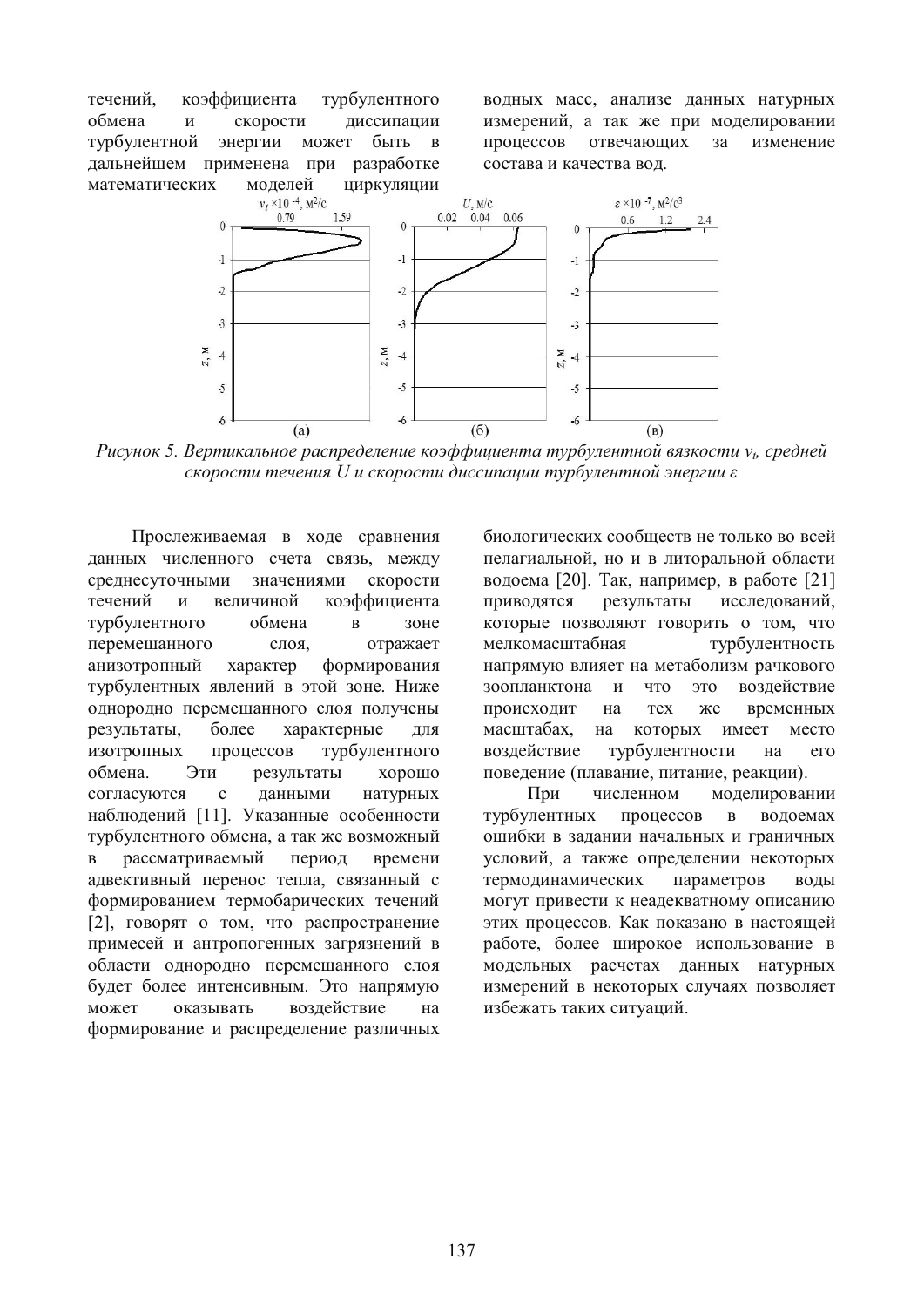течений. коэффициента турбулентного обмена диссипации  $\boldsymbol{\mathrm{M}}$ скорости может быть турбулентной энергии  $\overline{B}$ лальнейшем применена при разработке математических молелей циркуляции водных масс, анализе данных натурных измерений, а так же при моделировании процессов отвечающих  $3a$ изменение состава и качества вол.



Рисунок 5. Вертикальное распределение коэффициента турбулентной вязкости  $v_t$ , средней скорости течения U и скорости диссипации турбулентной энергии  $\varepsilon$ 

Прослеживаемая в ходе сравнения ланных численного счета связь, между среднесуточными значениями скорости течений  $\overline{M}$ величиной коэффициента турбулентного обмена  $\overline{\mathbf{R}}$ зоне перемешанного отражает слоя. анизотропный характер формирования турбулентных явлений в этой зоне. Ниже однородно перемешанного слоя получены более характерные результаты, лля изотропных процессов турбулентного обмена. Эти хорошо результаты согласуются ланными  $\mathbf{c}$ натурных наблюдений [11]. Указанные особенности турбулентного обмена, а так же возможный рассматриваемый  $\overline{B}$ период времени адвективный перенос тепла, связанный с формированием термобарических течений [2], говорят о том, что распространение примесей и антропогенных загрязнений в области однородно перемешанного слоя будет более интенсивным. Это напрямую может ОКАЗЫВАТЬ возлействие ня формирование и распределение различных биологических сообществ не только во всей пелагиальной, но и в литоральной области водоема [20]. Так, например, в работе [21] приводятся результаты исследований, которые позволяют говорить о том, что мелкомасштабная турбулентность напрямую влияет на метаболизм рачкового зоопланктона и что это воздействие происходит временных на **Tex** же масштабах. которых имеет место на возлействие турбулентности  $er<sub>o</sub>$ на поведение (плавание, питание, реакции).

При численном молелировании турбулентных процессов волоемах  $\overline{B}$ ошибки в задании начальных и граничных условий, а также определении некоторых термодинамических параметров волы могут привести к неадекватному описанию этих процессов. Как показано в настоящей работе, более широкое использование в модельных расчетах данных натурных измерений в некоторых случаях позволяет избежать таких ситуаций.